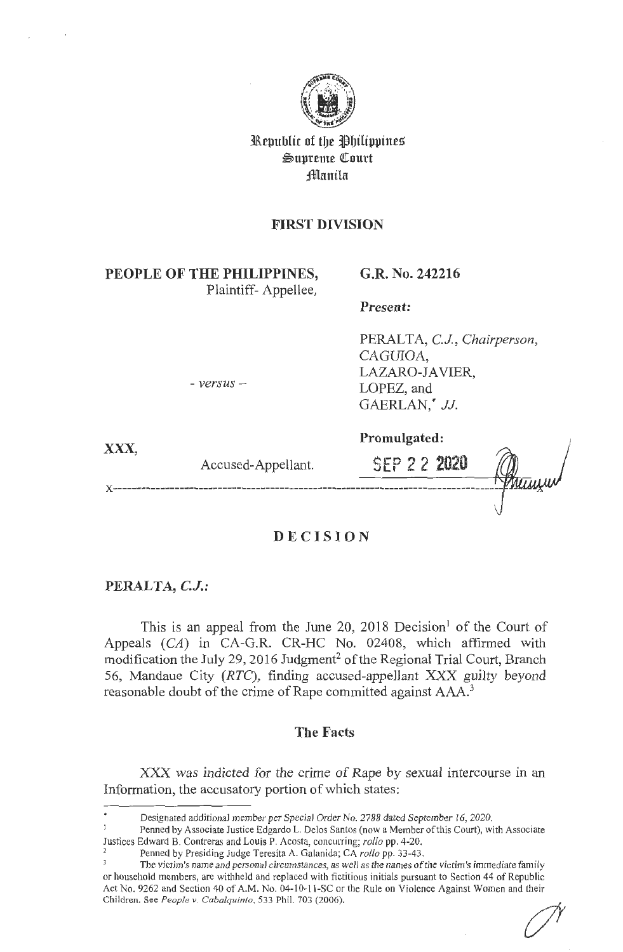

Republic of the Philippines ~upreme QI:ourt ;§lllanila

# **FIRST DIVISION**

**PEOPLE OF THE PHILIPPINES,**  Plaintiff- Appellee,

- *versus* -

### **G.R. No. 242216**

**Present:** 

PERALTA, *C.J, Chairperson,*  CAGUIOA, LAZARO-JAVIER, LOPEZ, and GAERLAN,\* *JJ.* 

**XXX,** 

Accused-Appellant.

**Promulgated:** 

SEP 2 2 **2020** 

**DECISION** 

### **PERALTA, C.J.:**

**Y** ---------------------------------

This is an appeal from the June 20, 2018 Decision<sup>1</sup> of the Court of Appeals (CA) in CA-G.R. CR-HC No. 02408, which affirmed with modification the July 29, 2016 Judgment<sup>2</sup> of the Regional Trial Court, Branch 56, Mandaue City (RTC), finding accused-appellant XXX guilty beyond reasonable doubt of the crime of Rape committed against AAA.<sup>3</sup>

### **The Facts**

XXX was indicted for the crime of Rape by sexual intercourse in an Information, the accusatory portion of which states:

Designated additional member per Special Order No. 2788 dated September 16, 2020.

 $\mathbf{I}$ Penned by Associate Justice Edgardo L. Delos Santos (now a Member of this Court), with Associate Justices Edward B. Contreras and Louis P. Acosta, concurring; *rollo* pp. 4-20. 2 Penned by Presiding Judge Teresita A. Galanida; CA *rollo* pp. 33-43.

The victim's name and personal circumstances, as well as the names of the victim's immediate family or household members, are withheld and replaced with fictitious initials pursuant to Section 44 of Republic Act No. 9262 and Section 40 of A.M. No. 04-10-11-SC or the Rule on Violence Against Women and their Children. See *People v. Cabalquinto,* 533 Phil. 703 (2006).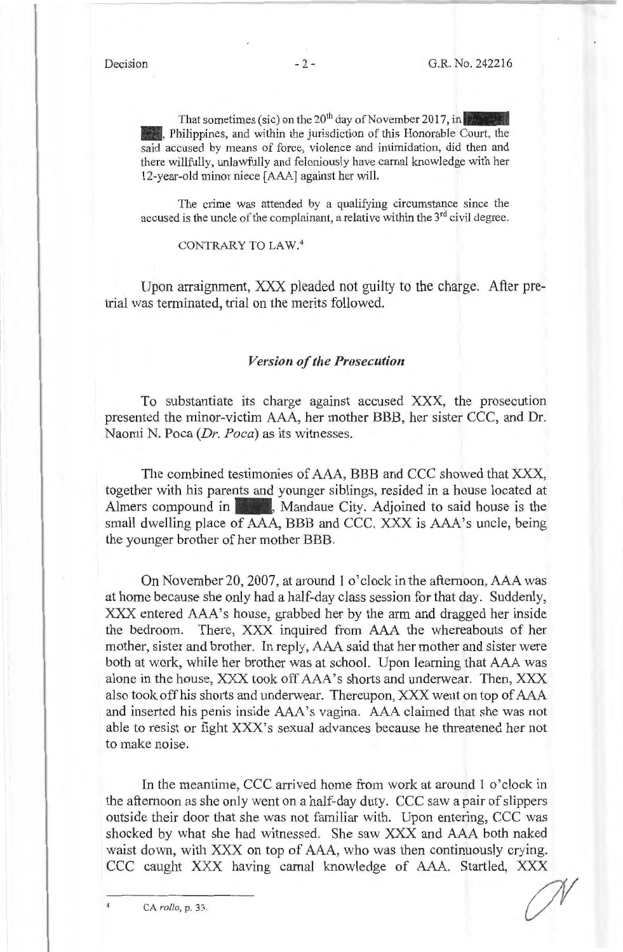That sometimes (sic) on the 20<sup>th</sup> day of November 2017, in . Philippines, and within the jurisdiction of this Honorable Court, the said accused by means of force, violence and intimidation, did then and there willfully, unlawfully and feloniously have carnal knowledge with her 12-year-old minor niece [AAA] against her will.

The crime was attended by a qualifying circumstance since the accused is the uncle of the complainant, a relative within the 3<sup>rd</sup> civil degree.

CONTRARY TO LAW.<sup>4</sup>

Upon arraignment, XXX pleaded not guilty to the charge. After pretrial was terminated, trial on the merits followed.

#### *Version of the Prosecution*

To substantiate its charge against accused XXX, the prosecution presented the minor-victim AAA, her mother BBB, her sister CCC, and Dr. Naomi N. Poca *(Dr. Poca)* as its witnesses.

The combined testimonies of AAA, BBB and CCC showed that XXX, together with his parents and younger siblings, resided in a house located at Almers compound in Mandaue City. Adjoined to said house is the small dwelling place of AAA, BBB and CCC. XXX is AAA's uncle, being the younger brother of her mother BBB.

On November 20, 2007, at around 1 o'clock in the afternoon, AAA was at home because she only had a half-day class session for that day. Suddenly, XXX entered AAA's house, grabbed her by the arm and dragged her inside the bedroom. There, XXX inquired from AAA the whereabouts of her mother, sister and brother. In reply, AAA said that her mother and sister were both at work, while her brother was at school. Upon learning that AAA was alone in the house, XXX took off AAA's shorts and underwear. Then, XXX also took off his shorts and underwear. Thereupon, XXX went on top of AAA and inserted his penis inside AAA's vagina. AAA claimed that she was not able to resist or fight XXX's sexual advances because he threatened her not to make noise.

In the meantime, CCC arrived home from work at around 1 o'clock in the afternoon as she only went on a half-day duty. CCC saw a pair of slippers outside their door that she was not familiar with. Upon entering, CCC was shocked by what she had witnessed. She saw XXX and AAA both naked waist down, with XXX on top of AAA, who was then continuously crying. CCC caught XXX having carnal knowledge of AAA. Startled, XXX

 $\mathscr{N}_{-}$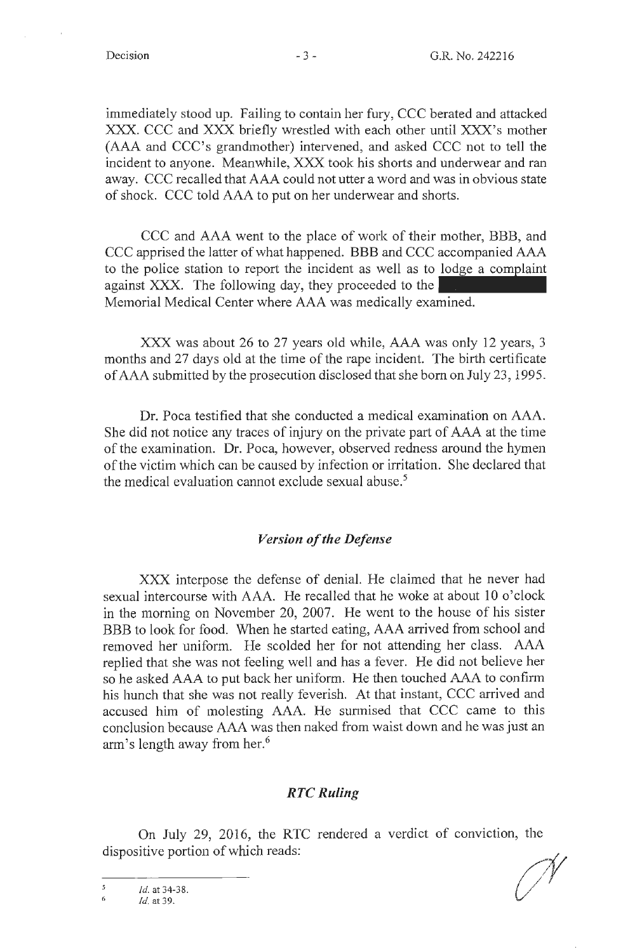immediately stood up. Failing to contain her fury, CCC berated and attacked XXX. CCC and XXX briefly wrestled with each other until XXX's mother (AAA and CCC's grandmother) intervened, and asked CCC not to tell the incident to anyone. Meanwhile, XXX took his shorts and underwear and ran away. CCC recalled that AAA could not utter a word and was in obvious state of shock. CCC told AAA to put on her underwear and shorts.

CCC and AAA went to the place of work of their mother, BBB, and CCC apprised the latter of what happened. BBB and CCC accompanied AAA to the police station to report the incident as well as to against XXX. The following day, they proceeded to the orts.<br>mother, BBB, and<br>accompanied AAA<br>lodge a complaint Memorial Medical Center where AAA was medically examined.

XXX was about 26 to 27 years old while, AAA was only 12 years, 3 months and 27 days old at the time of the rape incident. The birth certificate of AAA submitted by the prosecution disclosed that she born on July 23, 1995.

Dr. Poca testified that she conducted a medical examination on AAA. She did not notice any traces of injury on the private part of AAA at the time of the examination. Dr. Poca, however, observed redness around the hymen of the victim which can be caused by infection or irritation. She declared that the medical evaluation cannot exclude sexual abuse. 5

#### *Version of the Defense*

XXX interpose the defense of denial. He claimed that he never had sexual intercourse with AAA. He recalled that he woke at about 10 o'clock in the morning on November 20, 2007. He went to the house of his sister BBB to look for food. When he started eating, AAA arrived from school and removed her uniform. He scolded her for not attending her class. AAA replied that she was not feeling well and has a fever. He did not believe her so he asked AAA to put back her uniform. He then touched AAA to confirm his hunch that she was not really feverish. At that instant, CCC arrived and accused him of molesting AAA. He surmised that CCC came to this conclusion because AAA was then naked from waist down and he was just an arm's length away from her.<sup>6</sup>

#### *RTCRuling*

On July 29, 2016, the RTC rendered a verdict of conviction, the dispositive portion of which reads:

 $\overline{\mathbf{S}}$ *id.* at 34-38.

<sup>6</sup>  *Id.* at 39.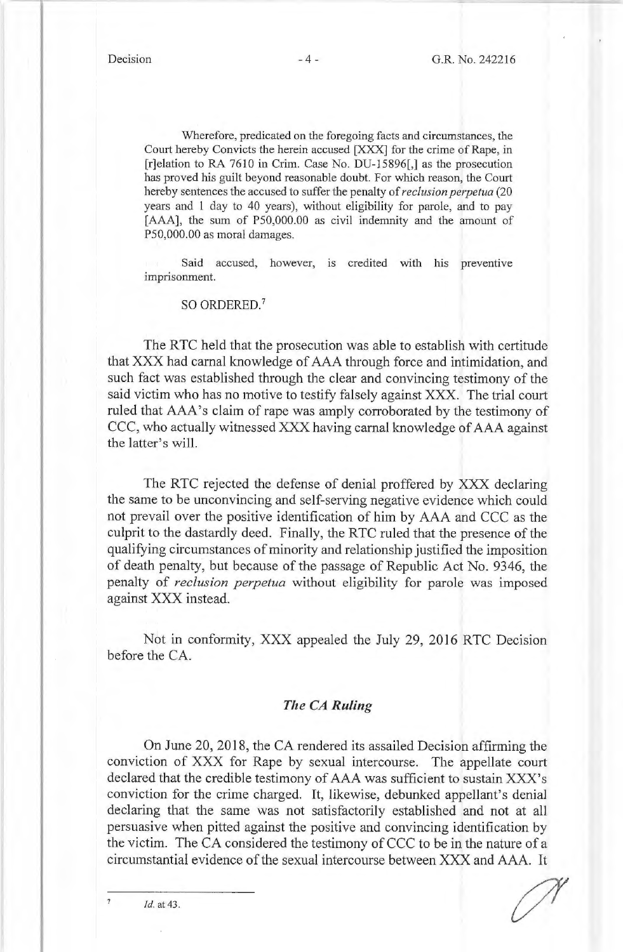Wherefore, predicated on the foregoing facts and circumstances, the Court hereby Convicts the herein accused [XXX] for the crime of Rape, in [r]elation to RA 7610 in Crim. Case No. DU-15896[,] as the prosecution has proved his guilt beyond reasonable doubt. For which reason, the Court hereby sentences the accused to suffer the penalty of *reclusion perpetua* (20 years and **1** day to 40 years), without eligibility for parole, and to pay [AAA], the sum of PS0,000.00 as civil indemnity and the amount of PS0,000.00 as moral damages.

Said accused, however, is credited with his preventive imprisonment.

SO ORDERED.<sup>7</sup>

The RTC held that the prosecution was able to establish with certitude that XXX had carnal knowledge of AAA through force and intimidation, and such fact was established through the clear and convincing testimony of the said victim who has no motive to testify falsely against XXX. The trial court ruled that AAA's claim of rape was amply corroborated by the testimony of CCC, who actually witnessed XXX having carnal knowledge of AAA against the latter's will.

The RTC rejected the defense of denial proffered by XXX declaring the same to be unconvincing and self-serving negative evidence which could not prevail over the positive identification of him by AAA and CCC as the culprit to the dastardly deed. Finally, the RTC ruled that the presence of the qualifying circumstances of minority and relationship justified the imposition of death penalty, but because of the passage of Republic Act No. 9346, the penalty of *reclusion perpetua* without eligibility for parole was imposed against XXX instead.

Not in conformity, XXX appealed the July 29, 2016 RTC Decision before the CA.

### *The CA Ruling*

On June 20, 2018, the CA rendered its assailed Decision affirming the conviction of XXX for Rape by sexual intercourse. The appellate court declared that the credible testimony of AAA was sufficient to sustain XXX's conviction for the crime charged. It, likewise, debunked appellant's denial declaring that the same was not satisfactorily established and not at all persuasive when pitted against the positive and convincing identification by the victim. The CA considered the testimony of CCC to be in the nature of a circumstantial evidence of the sexual intercourse between XXX and AAA. It

*Id.* at 43.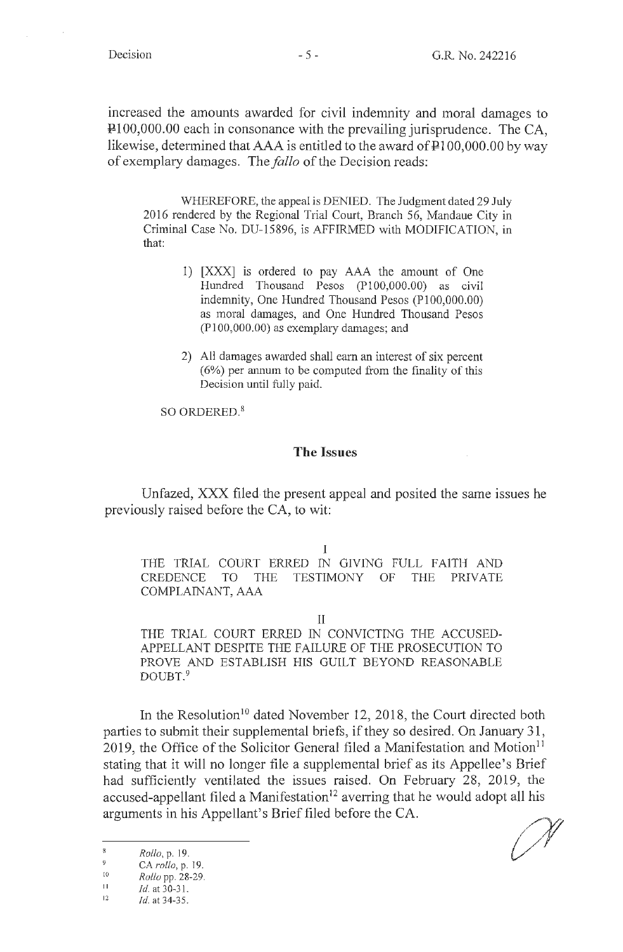increased the amounts awarded for civil indemnity and moral damages to Pl00,000.00 each in consonance with the prevailing jurisprudence. The CA, likewise, determined that  $AAA$  is entitled to the award of  $\text{P}100,000.00$  by way of exemplary damages. The *fallo* of the Decision reads:

WHEREFORE, the appeal is DENIED. The Judgment dated 29 July 2016 rendered by the Regional Trial Court, Branch 56, Mandaue City in Criminal Case No. DU-15896, is AFFIRMED with MODIFICATION, in that:

- 1) [XXX] is ordered to pay AAA the amount of One Hundred Thousand Pesos (Pl00,000.00) as civil indemnity, One Hundred Thousand Pesos (PI00,000.00) as moral damages, and One Hundred Thousand Pesos (Pl00,000.00) as exemplary damages; and
- 2) All damages awarded shall earn an interest of six percent (6%) per annum to be computed from the finality of this Decision until fully paid.

SO ORDERED.<sup>8</sup>

#### **The Issues**

Unfazed, XXX filed-the present appeal and posited the same issues he previously raised before the CA, to wit:

I

THE TRIAL COURT ERRED IN GIVING FULL FAITH AND CREDENCE TO THE TESTIMONY OF THE PRIVATE COMPLAINANT, AAA

II

THE TRIAL COURT ERRED IN CONVICTING THE ACCUSED-APPELLANT DESPITE THE FAILURE OF THE PROSECUTION TO PROVE AND ESTABLISH HIS GUILT BEYOND REASONABLE DOUBT.<sup>9</sup>

In the Resolution<sup>10</sup> dated November 12, 2018, the Court directed both parties to submit their supplemental briefs, if they so desired. On January 31, 2019, the Office of the Solicitor General filed a Manifestation and Motion $11$ stating that it will no longer file a supplemental brief as its Appellee's Brief had sufficiently ventilated the issues raised. On February 28, 2019, the accused-appellant filed a Manifestation<sup>12</sup> averring that he would adopt all his arguments in his Appellant's Brief filed before the CA.

 $\, 8$ Rollo,p.19.

<sup>9</sup> CA *rollo,* p. 19. 10

II *Rollo* pp. 28-29.

*id.* at 30-3 1.

<sup>12</sup>  *Id.* at 34-35.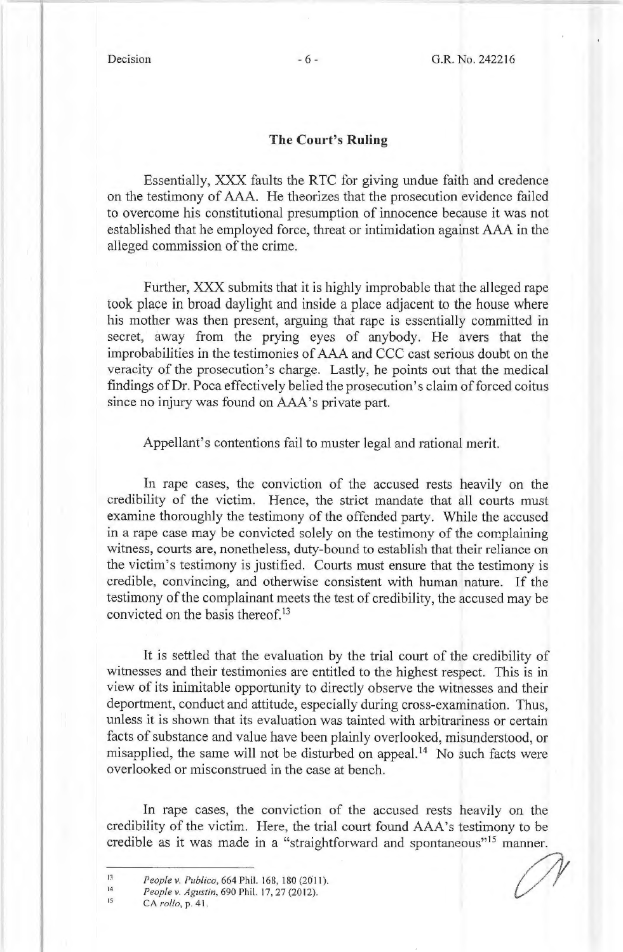#### **The Court's Ruling**

Essentially, XXX faults the RTC for giving undue faith and credence on the testimony of AAA. He theorizes that the prosecution evidence failed to overcome his constitutional presumption of innocence because it was not established that he employed force, threat or intimidation against AAA in the alleged commission of the crime.

Further, XXX submits that it is highly improbable that the alleged rape took place in broad daylight and inside a place adjacent to the house where his mother was then present, arguing that rape is essentially committed in secret, away from the prying eyes of anybody. He avers that the improbabilities in the testimonies of AAA and CCC cast serious doubt on the veracity of the prosecution's charge. Lastly, he points out that the medical findings of Dr. Poca effectively belied the prosecution's claim of forced coitus since no injury was found on AAA's private part.

Appellant's contentions fail to muster legal and rational merit.

In rape cases, the conviction of the accused rests heavily on the credibility of the victim. Hence, the strict mandate that all courts must examine thoroughly the testimony of the offended party. While the accused in a rape case may be convicted solely on the testimony of the complaining witness, courts are, nonetheless, duty-bound to establish that their reliance on the victim's testimony is justified. Courts must ensure that the testimony is credible, convincing, and otherwise consistent with human nature. If the testimony of the complainant meets the test of credibility, the accused may be convicted on the basis thereof.<sup>13</sup>

It is settled that the evaluation by the trial court of the credibility of witnesses and their testimonies are entitled to the highest respect. This is in view of its inimitable opportunity to directly observe the witnesses and their deportment, conduct and attitude, especially during cross-examination. Thus, unless it is shown that its evaluation was tainted with arbitrariness or certain facts of substance and value have been plainly overlooked, misunderstood, or misapplied, the same will not be disturbed on appeal.<sup>14</sup> No such facts were overlooked or misconstrued in the case at bench.

In rape cases, the conviction of the accused rests heavily on the credibility of the victim. Here, the trial court found AAA's testimony to be credible as it was made in a "straightforward and spontaneous"<sup>15</sup> manner.

15

People v. Publico, 664 Phil. 168, 180 (2011).<br>People v. Agustin, 690 Phil. 17, 27 (2012).<br>CA rollo, p. 41.

<sup>13</sup>  14 People v. Publico, 664 Phil. 168, 180 (2011).

*People v. Agustin,* 690 Phil. 17, 27(2012).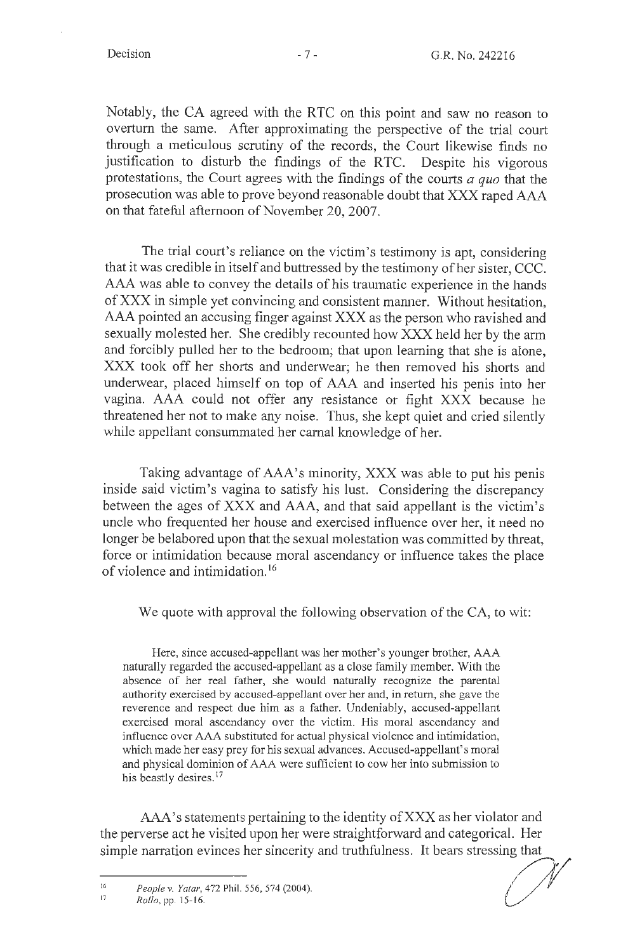Notably, the CA agreed with the RTC on this point and saw no reason to overturn the same. After approximating the perspective of the trial court through a meticulous scrutiny of the records, the Court likewise finds no justification to disturb the findings of the RTC. Despite his vigorous protestations, the Court agrees with the findings of the courts *a quo* that the prosecution was able to prove beyond reasonable doubt that XXX raped AAA on that fateful afternoon of November 20, 2007.

The trial court's reliance on the victim's testimony is apt, considering that it was credible in itself and buttressed by the testimony of her sister, CCC. AAA was able to convey the details of his traumatic experience in the hands of XXX in simple yet convincing and consistent manner. Without hesitation, AAA pointed an accusing finger against XXX as the person who ravished and sexually molested her. She credibly recounted how XXX held her by the arm and forcibly pulled her to the bedroom; that upon learning that she is alone, XXX took off her shorts and underwear; he then removed his shorts and underwear, placed himself on top of AAA and inserted his penis into her vagina. AAA could not offer any resistance or fight XXX because he threatened her not to make any noise. Thus, she kept quiet and cried silently while appellant consummated her carnal knowledge of her.

Taking advantage of AAA's minority, XXX was able to put his penis inside said victim's vagina to satisfy his lust. Considering the discrepancy between the ages of XXX and AAA, and that said appellant is the victim's uncle who frequented her house and exercised influence over her, it need no longer be belabored upon that the sexual molestation was committed by threat, force or intimidation because moral ascendancy or influence takes the place of violence and intimidation. <sup>16</sup>

We quote with approval the following observation of the CA, to wit:

Here, since accused-appellant was her mother's younger brother, AAA naturally regarded the accused-appellant as a close family member. With the absence of her real father, she would naturally recognize the parental authority exercised by accused-appellant over her and, in return, she gave the reverence and respect due him as a father. Undeniably, accused-appellant exercised moral ascendancy over the victim. His moral ascendancy and influence over AAA substituted for actual physical violence and intimidation, which made her easy prey for his sexual advances. Accused-appellant's moral and physical dominion of AAA were sufficient to cow her into submission to his beastly desires.<sup>17</sup>

AAA's statements pertaining to the identity of XXX as her violator and the perverse act he visited upon her were straightforward and categorical. Her AAA's statements pertaining to the identity of XXX as her violator and<br>the perverse act he visited upon her were straightforward and categorical. Her<br>simple narration evinces her sincerity and truthfulness. It bears stress

*Reople v. Yatar*, 472 Phil. 556, 574 (2004).<br> *Rollo*, pp. 15-16.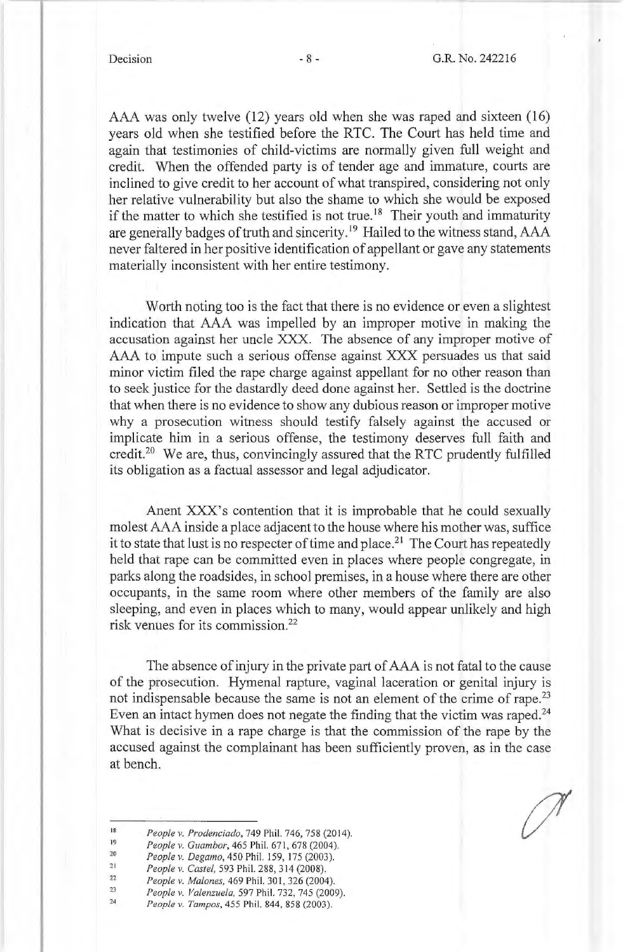AAA was only twelve (12) years old when she was raped and sixteen (16) years old when she testified before the RTC. The Court has held time and again that testimonies of child-victims are normally given full weight and credit. When the offended party is of tender age and immature, courts are inclined to give credit to her account of what transpired, considering not only her relative vulnerability but also the shame to which she would be exposed if the matter to which she testified is not true.<sup>18</sup> Their youth and immaturity are generally badges of truth and sincerity. 19 Hailed to the witness stand, AAA never faltered in her positive identification of appellant or gave any statements materially inconsistent with her entire testimony.

Worth noting too is the fact that there is no evidence or even a slightest indication that AAA was impelled by an improper motive in making the accusation against her uncle XXX. The absence of any improper motive of AAA to impute such a serious offense against XXX persuades us that said minor victim filed the rape charge against appellant for no other reason than to seek justice for the dastardly deed done against her. Settled is the doctrine that when there is no evidence to show any dubious reason or improper motive why a prosecution witness should testify falsely against the accused or implicate him in a serious offense, the testimony deserves full faith and credit.<sup>20</sup> We are, thus, convincingly assured that the RTC prudently fulfilled its obligation as a factual assessor and legal adjudicator.

Anent XXX's contention that it is improbable that he could sexually molest AAA inside a place adjacent to the house where his mother was, suffice it to state that lust is no respecter of time and place.<sup>21</sup> The Court has repeatedly held that rape can be committed even in places where people congregate, in parks along the roadsides, in school premises, in a house where there are other occupants, in the same room where other members of the family are also sleeping, and even in places which to many, would appear unlikely and high risk venues for its commission.22

The absence of injury in the private part of AAA is not fatal to the cause of the prosecution. Hymenal rapture, vaginal laceration or genital injury is not indispensable because the same is not an element of the crime of rape.<sup>23</sup> Even an intact hymen does not negate the finding that the victim was raped. $24$ What is decisive in a rape charge is that the commission of the rape by the accused against the complainant has been sufficiently proven, as in the case at bench.

- 18 19 People v. Prodenciado, 749 Phil. 746, 758 (2014).
- 20 People v. Guambor, 465 Phil. 671, 678 (2004).
- 21 *People v. Degamo,* 450 Phil. 159, 175 (2003). *People v. Castel,* 593 Phil. 288, 314 (2008).
- 22 *People v. Mal ones,* 469 Phil. 301, 326 (2004).
- 23 *People v. Valenzuela,* 597 Phil. 732, 745 (2009).
- 24 *People v. Tampos,* 455 Phil. 844, 858 (2003).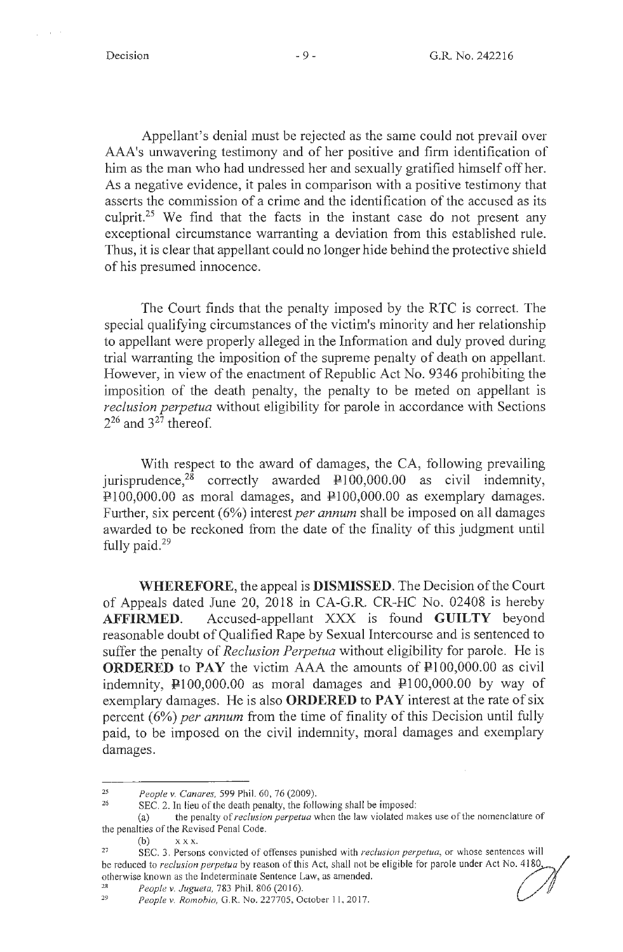Appellant's denial must be rejected as the same could not prevail over AAA's unwavering testimony and of her positive and firm identification of him as the man who had undressed her and sexually gratified himself off her. As a negative evidence, it pales in comparison with a positive testimony that asserts the commission of a crime and the identification of the accused as its culprit.25 We find that the facts in the instant case do not present any exceptional circumstance warranting a deviation from this established rule. Thus, it is clear that appellant could no longer hide behind the protective shield of his presumed innocence.

The Court finds that the penalty imposed by the **R** TC is correct. The special qualifying circumstances of the victim's minority and her relationship to appellant were properly alleged in the Information and duly proved during trial warranting the imposition of the supreme penalty of death on appellant. However, in view of the enactment of Republic Act No. 9346 prohibiting the imposition of the death penalty, the penalty to be meted on appellant is *reclusion perpetua* without eligibility for parole in accordance with Sections  $2^{26}$  and  $3^{27}$  thereof.

With respect to the award of damages, the CA, following prevailing jurisprudence,<sup>28</sup> correctly awarded  $\text{P}100,000.00$  as civil indemnity,  $\overline{P}$ 100,000.00 as moral damages, and  $P$ 100,000.00 as exemplary damages. Further, six percent (6%) interest *per annum* shall be imposed on all damages awarded to be reckoned from the date of the finality of this judgment until fully paid. $29$ 

**WHEREFORE,** the appeal is **DISMISSED.** The Decision of the Court of Appeals dated June 20, 2018 in CA-G.R. CR-HC No. 02408 is hereby **AFFIRMED.** Accused-appellant XXX is found **GUILTY** beyond reasonable doubt of Qualified Rape by Sexual Intercourse and is sentenced to suffer the penalty of *Reclusion Perpetua* without eligibility for parole. He is **ORDERED** to **PAY** the victim AAA the amounts of  $\text{P100,000.00}$  as civil indemnity,  $\mu$ 100,000.00 as moral damages and  $\mu$ 100,000.00 by way of exemplary damages. He is also **ORDERED to PAY** interest at the rate of six percent (6%) *per annum* from the time of finality of this Decision until fully paid, to be imposed on the civil indemnity, moral damages and exemplary damages.

<sup>25</sup>*People v. Canares,* 599 Phil. 60, 76 (2009).

SEC. 2. In lieu of the death penalty, the following shall be imposed:

<sup>(</sup>a) the penalty of *reclusion perpetua* when the law violated makes use of the nomenclature of the penalties of the Revised Penal Code.

 $(b)$   $X X X$ .

<sup>27</sup> SEC. 3. Persons convicted of offenses punished with *reclusion perpetua,* or whose sentences wi ll be reduced to *reclusion perpetua* by reason of this Act, shall not be eligible for parole under Act No. 4180, otherwise known as the Indeterminate Sentence Law, as amended. 28 *People v. Jugueta,* 783 Phil. 806 (2016). 29 *People v. Romobio,* G. R. No. 227705, October I I, 20 17.